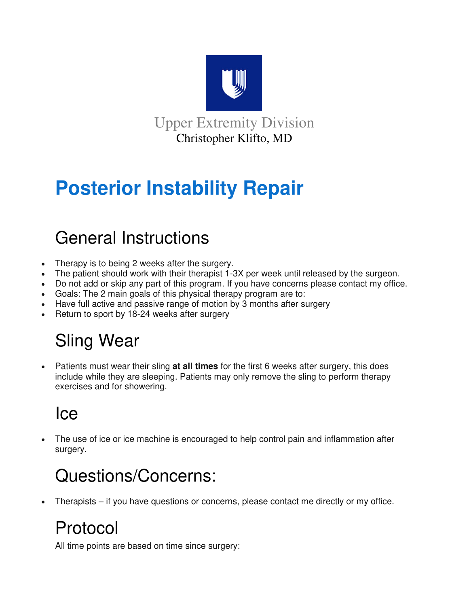

Upper Extremity Division Christopher Klifto, MD

# **Posterior Instability Repair**

### General Instructions

- Therapy is to being 2 weeks after the surgery.
- The patient should work with their therapist 1-3X per week until released by the surgeon.
- Do not add or skip any part of this program. If you have concerns please contact my office.
- Goals: The 2 main goals of this physical therapy program are to:
- Have full active and passive range of motion by 3 months after surgery
- Return to sport by 18-24 weeks after surgery

# Sling Wear

 Patients must wear their sling **at all times** for the first 6 weeks after surgery, this does include while they are sleeping. Patients may only remove the sling to perform therapy exercises and for showering.

## Ice

 The use of ice or ice machine is encouraged to help control pain and inflammation after surgery.

# Questions/Concerns:

Therapists – if you have questions or concerns, please contact me directly or my office.

## Protocol

All time points are based on time since surgery: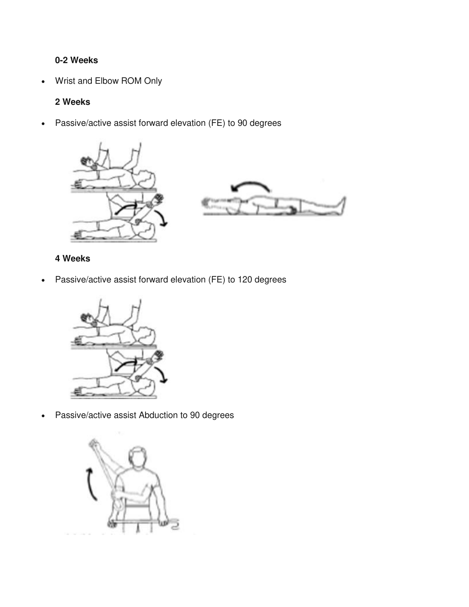#### **0-2 Weeks**

Wrist and Elbow ROM Only

#### **2 Weeks**

Passive/active assist forward elevation (FE) to 90 degrees





#### **4 Weeks**

Passive/active assist forward elevation (FE) to 120 degrees



Passive/active assist Abduction to 90 degrees

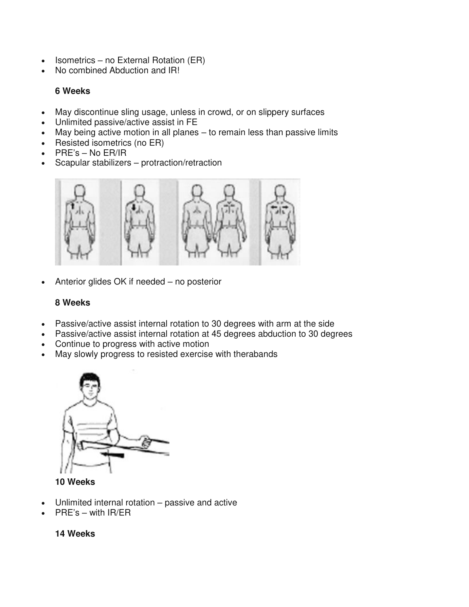- Isometrics no External Rotation (ER)
- No combined Abduction and IR!

#### **6 Weeks**

- May discontinue sling usage, unless in crowd, or on slippery surfaces
- Unlimited passive/active assist in FE
- May being active motion in all planes to remain less than passive limits
- Resisted isometrics (no ER)
- PRE's No ER/IR
- Scapular stabilizers protraction/retraction



• Anterior glides OK if needed – no posterior

#### **8 Weeks**

- Passive/active assist internal rotation to 30 degrees with arm at the side
- Passive/active assist internal rotation at 45 degrees abduction to 30 degrees
- Continue to progress with active motion
- May slowly progress to resisted exercise with therabands



**10 Weeks** 

- Unlimited internal rotation passive and active
- PRE's with IR/ER

#### **14 Weeks**